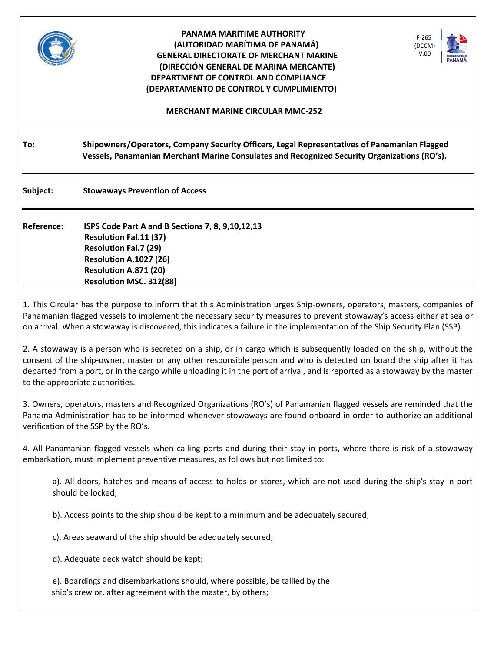|                                                                                                                                                                                                                                                                                                                                                                                                                   | PANAMA MARITIME AUTHORITY<br>$F-265$<br>(AUTORIDAD MARÍTIMA DE PANAMÁ)<br>(DCCM)<br>V.00<br><b>GENERAL DIRECTORATE OF MERCHANT MARINE</b><br>(DIRECCIÓN GENERAL DE MARINA MERCANTE)<br>DEPARTMENT OF CONTROL AND COMPLIANCE<br>(DEPARTAMENTO DE CONTROL Y CUMPLIMIENTO) |
|-------------------------------------------------------------------------------------------------------------------------------------------------------------------------------------------------------------------------------------------------------------------------------------------------------------------------------------------------------------------------------------------------------------------|-------------------------------------------------------------------------------------------------------------------------------------------------------------------------------------------------------------------------------------------------------------------------|
|                                                                                                                                                                                                                                                                                                                                                                                                                   | <b>MERCHANT MARINE CIRCULAR MMC-252</b>                                                                                                                                                                                                                                 |
| To:                                                                                                                                                                                                                                                                                                                                                                                                               | Shipowners/Operators, Company Security Officers, Legal Representatives of Panamanian Flagged<br>Vessels, Panamanian Merchant Marine Consulates and Recognized Security Organizations (RO's).                                                                            |
| Subject:                                                                                                                                                                                                                                                                                                                                                                                                          | <b>Stowaways Prevention of Access</b>                                                                                                                                                                                                                                   |
| Reference:                                                                                                                                                                                                                                                                                                                                                                                                        | ISPS Code Part A and B Sections 7, 8, 9,10,12,13<br><b>Resolution Fal.11 (37)</b><br><b>Resolution Fal.7 (29)</b><br><b>Resolution A.1027 (26)</b><br>Resolution A.871 (20)<br>Resolution MSC. 312(88)                                                                  |
| 1. This Circular has the purpose to inform that this Administration urges Ship-owners, operators, masters, companies of<br>Panamanian flagged vessels to implement the necessary security measures to prevent stowaway's access either at sea or<br>on arrival. When a stowaway is discovered, this indicates a failure in the implementation of the Ship Security Plan (SSP).                                    |                                                                                                                                                                                                                                                                         |
| 2. A stowaway is a person who is secreted on a ship, or in cargo which is subsequently loaded on the ship, without the<br>consent of the ship-owner, master or any other responsible person and who is detected on board the ship after it has<br>departed from a port, or in the cargo while unloading it in the port of arrival, and is reported as a stowaway by the master<br>to the appropriate authorities. |                                                                                                                                                                                                                                                                         |
| 3. Owners, operators, masters and Recognized Organizations (RO's) of Panamanian flagged vessels are reminded that the<br>Panama Administration has to be informed whenever stowaways are found onboard in order to authorize an additional<br>verification of the SSP by the RO's.                                                                                                                                |                                                                                                                                                                                                                                                                         |
| 4. All Panamanian flagged vessels when calling ports and during their stay in ports, where there is risk of a stowaway<br>embarkation, must implement preventive measures, as follows but not limited to:                                                                                                                                                                                                         |                                                                                                                                                                                                                                                                         |
| a). All doors, hatches and means of access to holds or stores, which are not used during the ship's stay in port<br>should be locked;                                                                                                                                                                                                                                                                             |                                                                                                                                                                                                                                                                         |
|                                                                                                                                                                                                                                                                                                                                                                                                                   | b). Access points to the ship should be kept to a minimum and be adequately secured;                                                                                                                                                                                    |
| c). Areas seaward of the ship should be adequately secured;                                                                                                                                                                                                                                                                                                                                                       |                                                                                                                                                                                                                                                                         |
| d). Adequate deck watch should be kept;                                                                                                                                                                                                                                                                                                                                                                           |                                                                                                                                                                                                                                                                         |
|                                                                                                                                                                                                                                                                                                                                                                                                                   | e). Boardings and disembarkations should, where possible, be tallied by the<br>ship's crew or, after agreement with the master, by others;                                                                                                                              |

a l

Г